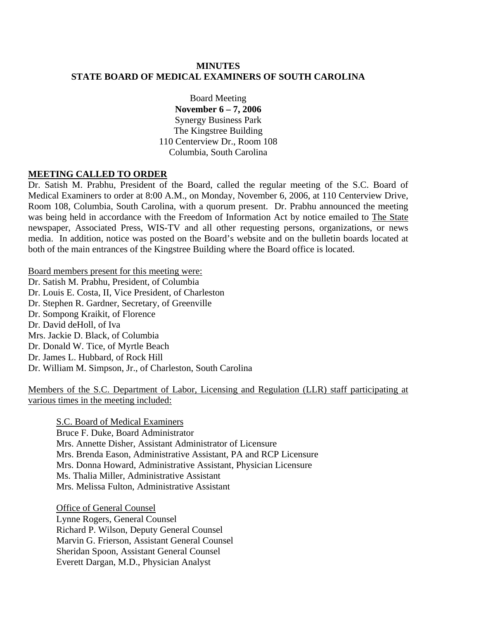## **MINUTES STATE BOARD OF MEDICAL EXAMINERS OF SOUTH CAROLINA**

Board Meeting **November 6 – 7, 2006**  Synergy Business Park The Kingstree Building 110 Centerview Dr., Room 108 Columbia, South Carolina

### **MEETING CALLED TO ORDER**

Dr. Satish M. Prabhu, President of the Board, called the regular meeting of the S.C. Board of Medical Examiners to order at 8:00 A.M., on Monday, November 6, 2006, at 110 Centerview Drive, Room 108, Columbia, South Carolina, with a quorum present. Dr. Prabhu announced the meeting was being held in accordance with the Freedom of Information Act by notice emailed to The State newspaper, Associated Press, WIS-TV and all other requesting persons, organizations, or news media. In addition, notice was posted on the Board's website and on the bulletin boards located at both of the main entrances of the Kingstree Building where the Board office is located.

Board members present for this meeting were:

Dr. Satish M. Prabhu, President, of Columbia Dr. Louis E. Costa, II, Vice President, of Charleston Dr. Stephen R. Gardner, Secretary, of Greenville Dr. Sompong Kraikit, of Florence Dr. David deHoll, of Iva Mrs. Jackie D. Black, of Columbia Dr. Donald W. Tice, of Myrtle Beach Dr. James L. Hubbard, of Rock Hill Dr. William M. Simpson, Jr., of Charleston, South Carolina

Members of the S.C. Department of Labor, Licensing and Regulation (LLR) staff participating at various times in the meeting included:

S.C. Board of Medical Examiners Bruce F. Duke, Board Administrator Mrs. Annette Disher, Assistant Administrator of Licensure Mrs. Brenda Eason, Administrative Assistant, PA and RCP Licensure Mrs. Donna Howard, Administrative Assistant, Physician Licensure Ms. Thalia Miller, Administrative Assistant Mrs. Melissa Fulton, Administrative Assistant

 Office of General Counsel Lynne Rogers, General Counsel Richard P. Wilson, Deputy General Counsel Marvin G. Frierson, Assistant General Counsel Sheridan Spoon, Assistant General Counsel Everett Dargan, M.D., Physician Analyst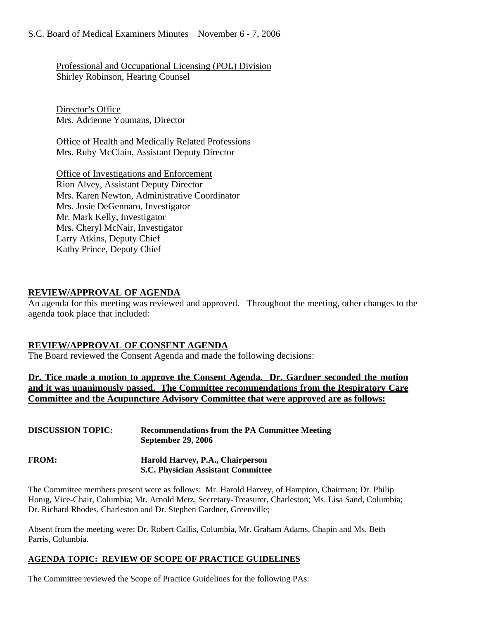Professional and Occupational Licensing (POL) Division Shirley Robinson, Hearing Counsel

Director's Office Mrs. Adrienne Youmans, Director

Office of Health and Medically Related Professions Mrs. Ruby McClain, Assistant Deputy Director

Office of Investigations and Enforcement Rion Alvey, Assistant Deputy Director Mrs. Karen Newton, Administrative Coordinator Mrs. Josie DeGennaro, Investigator Mr. Mark Kelly, Investigator Mrs. Cheryl McNair, Investigator Larry Atkins, Deputy Chief Kathy Prince, Deputy Chief

## **REVIEW/APPROVAL OF AGENDA**

An agenda for this meeting was reviewed and approved. Throughout the meeting, other changes to the agenda took place that included:

## **REVIEW/APPROVAL OF CONSENT AGENDA**

The Board reviewed the Consent Agenda and made the following decisions:

**Dr. Tice made a motion to approve the Consent Agenda. Dr. Gardner seconded the motion and it was unanimously passed. The Committee recommendations from the Respiratory Care Committee and the Acupuncture Advisory Committee that were approved are as follows:**

| <b>DISCUSSION TOPIC:</b> | <b>Recommendations from the PA Committee Meeting</b><br><b>September 29, 2006</b> |
|--------------------------|-----------------------------------------------------------------------------------|
| <b>FROM:</b>             | Harold Harvey, P.A., Chairperson<br><b>S.C. Physician Assistant Committee</b>     |

The Committee members present were as follows: Mr. Harold Harvey, of Hampton, Chairman; Dr. Philip Honig, Vice-Chair, Columbia; Mr. Arnold Metz, Secretary-Treasurer, Charleston; Ms. Lisa Sand, Columbia; Dr. Richard Rhodes, Charleston and Dr. Stephen Gardner, Greenville;

Absent from the meeting were: Dr. Robert Callis, Columbia, Mr. Graham Adams, Chapin and Ms. Beth Parris, Columbia.

## **AGENDA TOPIC: REVIEW OF SCOPE OF PRACTICE GUIDELINES**

The Committee reviewed the Scope of Practice Guidelines for the following PAs: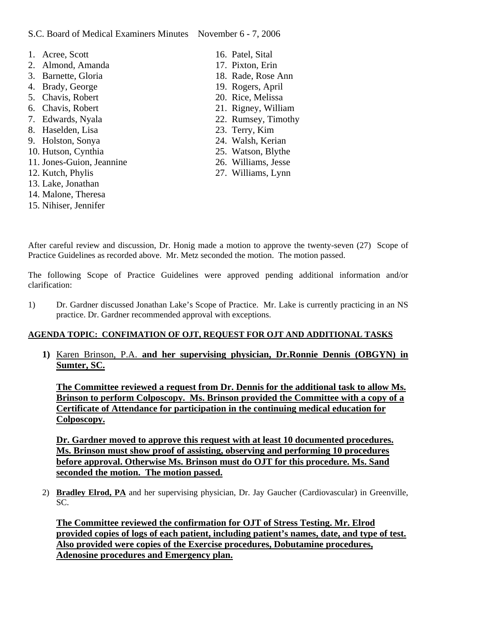### S.C. Board of Medical Examiners Minutes November 6 - 7, 2006

- 1. Acree, Scott 2. Almond, Amanda 3. Barnette, Gloria 4. Brady, George 5. Chavis, Robert 6. Chavis, Robert 7. Edwards, Nyala 8. Haselden, Lisa 9. Holston, Sonya 10. Hutson, Cynthia 11. Jones-Guion, Jeannine 12. Kutch, Phylis 13. Lake, Jonathan 14. Malone, Theresa 15. Nihiser, Jennifer
- 16. Patel, Sital 17. Pixton, Erin 18. Rade, Rose Ann 19. Rogers, April 20. Rice, Melissa 21. Rigney, William 22. Rumsey, Timothy 23. Terry, Kim 24. Walsh, Kerian 25. Watson, Blythe 26. Williams, Jesse 27. Williams, Lynn

After careful review and discussion, Dr. Honig made a motion to approve the twenty-seven (27) Scope of Practice Guidelines as recorded above. Mr. Metz seconded the motion. The motion passed.

The following Scope of Practice Guidelines were approved pending additional information and/or clarification:

1) Dr. Gardner discussed Jonathan Lake's Scope of Practice. Mr. Lake is currently practicing in an NS practice. Dr. Gardner recommended approval with exceptions.

#### **AGENDA TOPIC: CONFIMATION OF OJT, REQUEST FOR OJT AND ADDITIONAL TASKS**

**1)** Karen Brinson, P.A. **and her supervising physician, Dr.Ronnie Dennis (OBGYN) in Sumter, SC.**

**The Committee reviewed a request from Dr. Dennis for the additional task to allow Ms. Brinson to perform Colposcopy. Ms. Brinson provided the Committee with a copy of a Certificate of Attendance for participation in the continuing medical education for Colposcopy.** 

**Dr. Gardner moved to approve this request with at least 10 documented procedures. Ms. Brinson must show proof of assisting, observing and performing 10 procedures before approval. Otherwise Ms. Brinson must do OJT for this procedure. Ms. Sand seconded the motion. The motion passed.**

2) **Bradley Elrod, PA** and her supervising physician, Dr. Jay Gaucher (Cardiovascular) in Greenville, SC.

**The Committee reviewed the confirmation for OJT of Stress Testing. Mr. Elrod provided copies of logs of each patient, including patient's names, date, and type of test. Also provided were copies of the Exercise procedures, Dobutamine procedures, Adenosine procedures and Emergency plan.**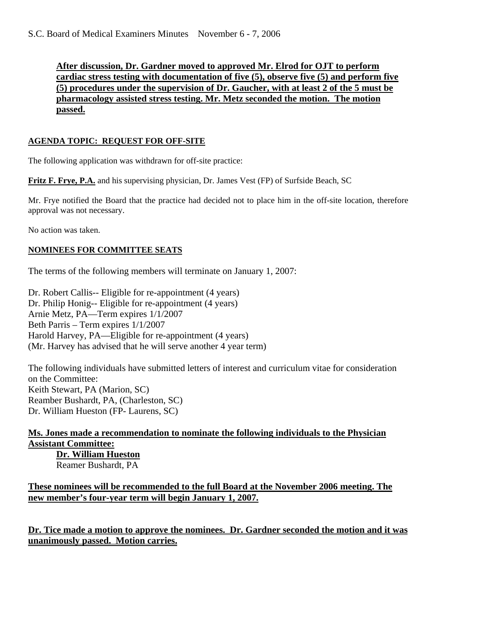**After discussion, Dr. Gardner moved to approved Mr. Elrod for OJT to perform cardiac stress testing with documentation of five (5), observe five (5) and perform five (5) procedures under the supervision of Dr. Gaucher, with at least 2 of the 5 must be pharmacology assisted stress testing. Mr. Metz seconded the motion. The motion passed.**

### **AGENDA TOPIC: REQUEST FOR OFF-SITE**

The following application was withdrawn for off-site practice:

**Fritz F. Frye, P.A.** and his supervising physician, Dr. James Vest (FP) of Surfside Beach, SC

Mr. Frye notified the Board that the practice had decided not to place him in the off-site location, therefore approval was not necessary.

No action was taken.

### **NOMINEES FOR COMMITTEE SEATS**

The terms of the following members will terminate on January 1, 2007:

Dr. Robert Callis-- Eligible for re-appointment (4 years) Dr. Philip Honig-- Eligible for re-appointment (4 years) Arnie Metz, PA—Term expires 1/1/2007 Beth Parris – Term expires 1/1/2007 Harold Harvey, PA—Eligible for re-appointment (4 years) (Mr. Harvey has advised that he will serve another 4 year term)

The following individuals have submitted letters of interest and curriculum vitae for consideration on the Committee: Keith Stewart, PA (Marion, SC) Reamber Bushardt, PA, (Charleston, SC) Dr. William Hueston (FP- Laurens, SC)

#### **Ms. Jones made a recommendation to nominate the following individuals to the Physician Assistant Committee: Dr. William Hueston**

Reamer Bushardt, PA

## **These nominees will be recommended to the full Board at the November 2006 meeting. The new member's four-year term will begin January 1, 2007.**

**Dr. Tice made a motion to approve the nominees. Dr. Gardner seconded the motion and it was unanimously passed. Motion carries.**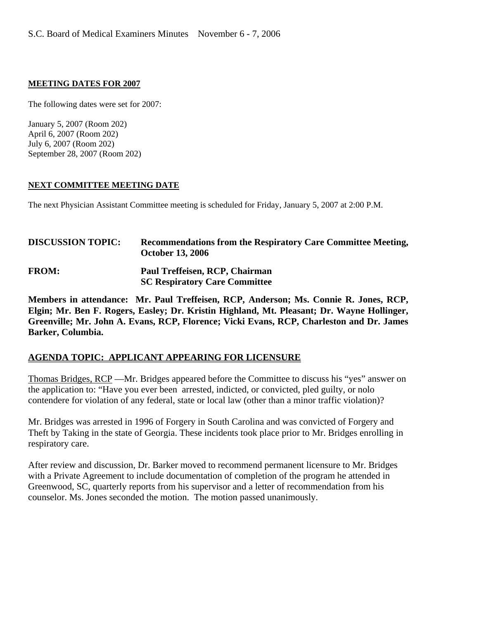#### **MEETING DATES FOR 2007**

The following dates were set for 2007:

January 5, 2007 (Room 202) April 6, 2007 (Room 202) July 6, 2007 (Room 202) September 28, 2007 (Room 202)

#### **NEXT COMMITTEE MEETING DATE**

The next Physician Assistant Committee meeting is scheduled for Friday, January 5, 2007 at 2:00 P.M.

| <b>DISCUSSION TOPIC:</b> | Recommendations from the Respiratory Care Committee Meeting,<br><b>October 13, 2006</b> |
|--------------------------|-----------------------------------------------------------------------------------------|
| <b>FROM:</b>             | Paul Treffeisen, RCP, Chairman<br><b>SC Respiratory Care Committee</b>                  |

**Members in attendance: Mr. Paul Treffeisen, RCP, Anderson; Ms. Connie R. Jones, RCP, Elgin; Mr. Ben F. Rogers, Easley; Dr. Kristin Highland, Mt. Pleasant; Dr. Wayne Hollinger, Greenville; Mr. John A. Evans, RCP, Florence; Vicki Evans, RCP, Charleston and Dr. James Barker, Columbia.** 

### **AGENDA TOPIC: APPLICANT APPEARING FOR LICENSURE**

Thomas Bridges, RCP —Mr. Bridges appeared before the Committee to discuss his "yes" answer on the application to: "Have you ever been arrested, indicted, or convicted, pled guilty, or nolo contendere for violation of any federal, state or local law (other than a minor traffic violation)?

Mr. Bridges was arrested in 1996 of Forgery in South Carolina and was convicted of Forgery and Theft by Taking in the state of Georgia. These incidents took place prior to Mr. Bridges enrolling in respiratory care.

After review and discussion, Dr. Barker moved to recommend permanent licensure to Mr. Bridges with a Private Agreement to include documentation of completion of the program he attended in Greenwood, SC, quarterly reports from his supervisor and a letter of recommendation from his counselor. Ms. Jones seconded the motion. The motion passed unanimously.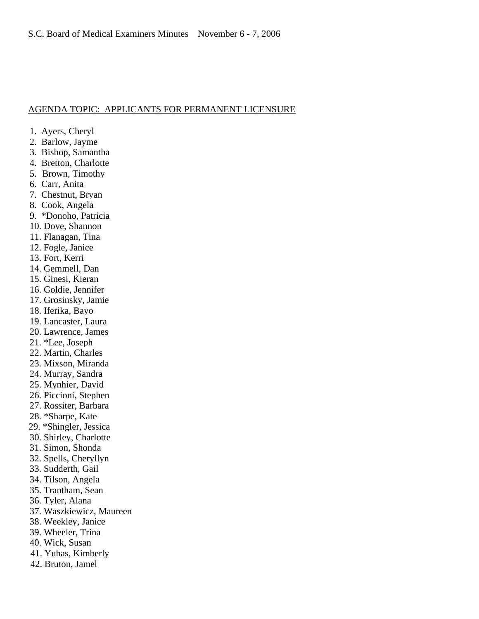#### AGENDA TOPIC: APPLICANTS FOR PERMANENT LICENSURE

- 1. Ayers, Cheryl
- 2. Barlow, Jayme
- 3. Bishop, Samantha
- 4. Bretton, Charlotte
- 5. Brown, Timothy
- 6. Carr, Anita
- 7. Chestnut, Bryan
- 8. Cook, Angela
- 9. \*Donoho, Patricia
- 10. Dove, Shannon
- 11. Flanagan, Tina
- 12. Fogle, Janice
- 13. Fort, Kerri
- 14. Gemmell, Dan
- 15. Ginesi, Kieran
- 16. Goldie, Jennifer
- 17. Grosinsky, Jamie
- 18. Iferika, Bayo
- 19. Lancaster, Laura
- 20. Lawrence, James
- 21. \*Lee, Joseph
- 22. Martin, Charles
- 23. Mixson, Miranda
- 24. Murray, Sandra
- 25. Mynhier, David
- 26. Piccioni, Stephen
- 27. Rossiter, Barbara
- 28. \*Sharpe, Kate
- 29. \*Shingler, Jessica
- 30. Shirley, Charlotte
- 31. Simon, Shonda
- 32. Spells, Cheryllyn
- 33. Sudderth, Gail
- 34. Tilson, Angela
- 35. Trantham, Sean
- 36. Tyler, Alana
- 37. Waszkiewicz, Maureen
- 38. Weekley, Janice
- 39. Wheeler, Trina
- 40. Wick, Susan
- 41. Yuhas, Kimberly
- 42. Bruton, Jamel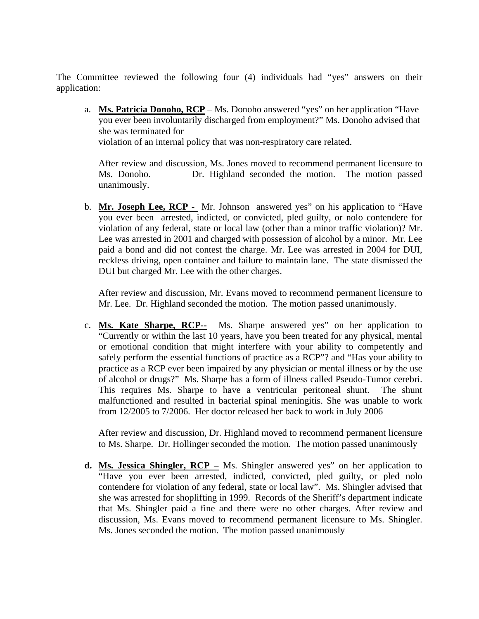The Committee reviewed the following four (4) individuals had "yes" answers on their application:

a. **Ms. Patricia Donoho, RCP** – Ms. Donoho answered "yes" on her application "Have you ever been involuntarily discharged from employment?" Ms. Donoho advised that she was terminated for

violation of an internal policy that was non-respiratory care related.

After review and discussion, Ms. Jones moved to recommend permanent licensure to Ms. Donoho. Dr. Highland seconded the motion. The motion passed unanimously.

b. **Mr. Joseph Lee, RCP -** Mr. Johnson answered yes" on his application to "Have you ever been arrested, indicted, or convicted, pled guilty, or nolo contendere for violation of any federal, state or local law (other than a minor traffic violation)? Mr. Lee was arrested in 2001 and charged with possession of alcohol by a minor. Mr. Lee paid a bond and did not contest the charge. Mr. Lee was arrested in 2004 for DUI, reckless driving, open container and failure to maintain lane. The state dismissed the DUI but charged Mr. Lee with the other charges.

After review and discussion, Mr. Evans moved to recommend permanent licensure to Mr. Lee. Dr. Highland seconded the motion. The motion passed unanimously.

c. **Ms. Kate Sharpe, RCP--** Ms. Sharpe answered yes" on her application to "Currently or within the last 10 years, have you been treated for any physical, mental or emotional condition that might interfere with your ability to competently and safely perform the essential functions of practice as a RCP"? and "Has your ability to practice as a RCP ever been impaired by any physician or mental illness or by the use of alcohol or drugs?" Ms. Sharpe has a form of illness called Pseudo-Tumor cerebri. This requires Ms. Sharpe to have a ventricular peritoneal shunt. The shunt malfunctioned and resulted in bacterial spinal meningitis. She was unable to work from 12/2005 to 7/2006. Her doctor released her back to work in July 2006

After review and discussion, Dr. Highland moved to recommend permanent licensure to Ms. Sharpe. Dr. Hollinger seconded the motion. The motion passed unanimously

**d. Ms. Jessica Shingler, RCP –** Ms. Shingler answered yes" on her application to "Have you ever been arrested, indicted, convicted, pled guilty, or pled nolo contendere for violation of any federal, state or local law". Ms. Shingler advised that she was arrested for shoplifting in 1999. Records of the Sheriff's department indicate that Ms. Shingler paid a fine and there were no other charges. After review and discussion, Ms. Evans moved to recommend permanent licensure to Ms. Shingler. Ms. Jones seconded the motion. The motion passed unanimously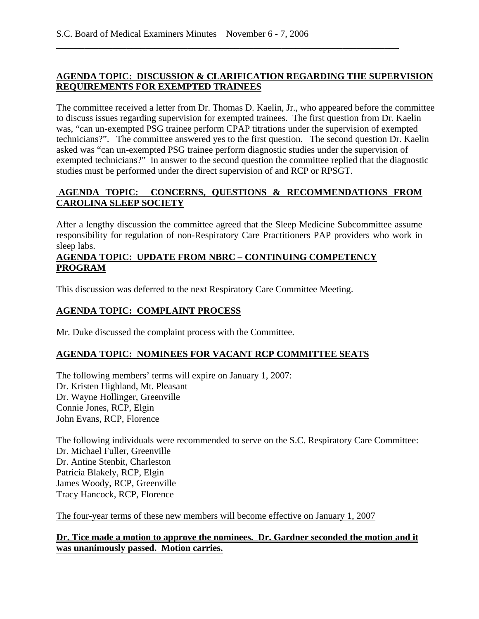### **AGENDA TOPIC: DISCUSSION & CLARIFICATION REGARDING THE SUPERVISION REQUIREMENTS FOR EXEMPTED TRAINEES**

\_\_\_\_\_\_\_\_\_\_\_\_\_\_\_\_\_\_\_\_\_\_\_\_\_\_\_\_\_\_\_\_\_\_\_\_\_\_\_\_\_\_\_\_\_\_\_\_\_\_\_\_\_\_\_\_\_\_\_\_\_\_\_\_\_\_\_\_\_\_\_\_\_

The committee received a letter from Dr. Thomas D. Kaelin, Jr., who appeared before the committee to discuss issues regarding supervision for exempted trainees. The first question from Dr. Kaelin was, "can un-exempted PSG trainee perform CPAP titrations under the supervision of exempted technicians?". The committee answered yes to the first question. The second question Dr. Kaelin asked was "can un-exempted PSG trainee perform diagnostic studies under the supervision of exempted technicians?" In answer to the second question the committee replied that the diagnostic studies must be performed under the direct supervision of and RCP or RPSGT.

## **AGENDA TOPIC: CONCERNS, QUESTIONS & RECOMMENDATIONS FROM CAROLINA SLEEP SOCIETY**

After a lengthy discussion the committee agreed that the Sleep Medicine Subcommittee assume responsibility for regulation of non-Respiratory Care Practitioners PAP providers who work in sleep labs.

### **AGENDA TOPIC: UPDATE FROM NBRC – CONTINUING COMPETENCY PROGRAM**

This discussion was deferred to the next Respiratory Care Committee Meeting.

## **AGENDA TOPIC: COMPLAINT PROCESS**

Mr. Duke discussed the complaint process with the Committee.

## **AGENDA TOPIC: NOMINEES FOR VACANT RCP COMMITTEE SEATS**

The following members' terms will expire on January 1, 2007: Dr. Kristen Highland, Mt. Pleasant Dr. Wayne Hollinger, Greenville Connie Jones, RCP, Elgin John Evans, RCP, Florence

The following individuals were recommended to serve on the S.C. Respiratory Care Committee: Dr. Michael Fuller, Greenville Dr. Antine Stenbit, Charleston Patricia Blakely, RCP, Elgin James Woody, RCP, Greenville Tracy Hancock, RCP, Florence

The four-year terms of these new members will become effective on January 1, 2007

**Dr. Tice made a motion to approve the nominees. Dr. Gardner seconded the motion and it was unanimously passed. Motion carries.**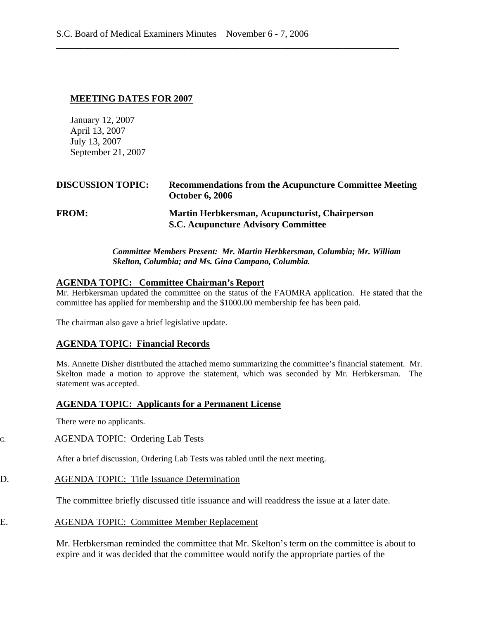#### **MEETING DATES FOR 2007**

January 12, 2007 April 13, 2007 July 13, 2007 September 21, 2007

| <b>DISCUSSION TOPIC:</b> | <b>Recommendations from the Acupuncture Committee Meeting</b><br><b>October 6, 2006</b>      |
|--------------------------|----------------------------------------------------------------------------------------------|
| <b>FROM:</b>             | Martin Herbkersman, Acupuncturist, Chairperson<br><b>S.C. Acupuncture Advisory Committee</b> |

\_\_\_\_\_\_\_\_\_\_\_\_\_\_\_\_\_\_\_\_\_\_\_\_\_\_\_\_\_\_\_\_\_\_\_\_\_\_\_\_\_\_\_\_\_\_\_\_\_\_\_\_\_\_\_\_\_\_\_\_\_\_\_\_\_\_\_\_\_\_\_\_\_

#### *Committee Members Present: Mr. Martin Herbkersman, Columbia; Mr. William Skelton, Columbia; and Ms. Gina Campano, Columbia.*

#### **AGENDA TOPIC: Committee Chairman's Report**

Mr. Herbkersman updated the committee on the status of the FAOMRA application. He stated that the committee has applied for membership and the \$1000.00 membership fee has been paid.

The chairman also gave a brief legislative update.

#### **AGENDA TOPIC: Financial Records**

Ms. Annette Disher distributed the attached memo summarizing the committee's financial statement. Mr. Skelton made a motion to approve the statement, which was seconded by Mr. Herbkersman. The statement was accepted.

#### **AGENDA TOPIC: Applicants for a Permanent License**

There were no applicants.

## C. AGENDA TOPIC: Ordering Lab Tests

After a brief discussion, Ordering Lab Tests was tabled until the next meeting.

## D. AGENDA TOPIC: Title Issuance Determination

The committee briefly discussed title issuance and will readdress the issue at a later date.

## E. AGENDA TOPIC: Committee Member Replacement

Mr. Herbkersman reminded the committee that Mr. Skelton's term on the committee is about to expire and it was decided that the committee would notify the appropriate parties of the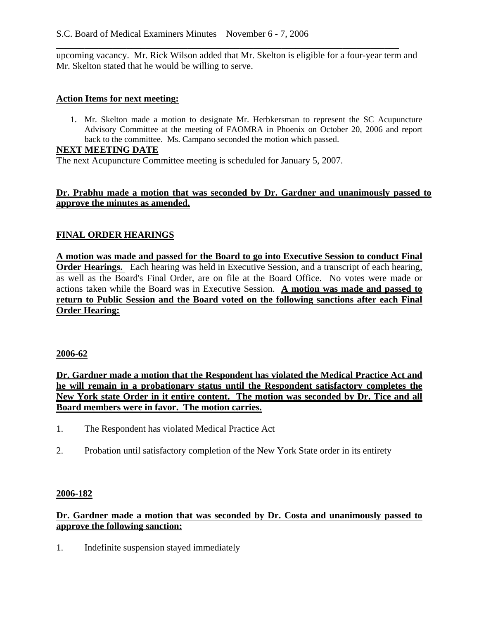upcoming vacancy. Mr. Rick Wilson added that Mr. Skelton is eligible for a four-year term and Mr. Skelton stated that he would be willing to serve.

\_\_\_\_\_\_\_\_\_\_\_\_\_\_\_\_\_\_\_\_\_\_\_\_\_\_\_\_\_\_\_\_\_\_\_\_\_\_\_\_\_\_\_\_\_\_\_\_\_\_\_\_\_\_\_\_\_\_\_\_\_\_\_\_\_\_\_\_\_\_\_\_\_

#### **Action Items for next meeting:**

1. Mr. Skelton made a motion to designate Mr. Herbkersman to represent the SC Acupuncture Advisory Committee at the meeting of FAOMRA in Phoenix on October 20, 2006 and report back to the committee. Ms. Campano seconded the motion which passed.

#### **NEXT MEETING DATE**

The next Acupuncture Committee meeting is scheduled for January 5, 2007.

### **Dr. Prabhu made a motion that was seconded by Dr. Gardner and unanimously passed to approve the minutes as amended.**

### **FINAL ORDER HEARINGS**

**A motion was made and passed for the Board to go into Executive Session to conduct Final Order Hearings.** Each hearing was held in Executive Session, and a transcript of each hearing, as well as the Board's Final Order, are on file at the Board Office. No votes were made or actions taken while the Board was in Executive Session. **A motion was made and passed to return to Public Session and the Board voted on the following sanctions after each Final Order Hearing:**

#### **2006-62**

**Dr. Gardner made a motion that the Respondent has violated the Medical Practice Act and he will remain in a probationary status until the Respondent satisfactory completes the New York state Order in it entire content. The motion was seconded by Dr. Tice and all Board members were in favor. The motion carries.**

- 1. The Respondent has violated Medical Practice Act
- 2. Probation until satisfactory completion of the New York State order in its entirety

### **2006-182**

### **Dr. Gardner made a motion that was seconded by Dr. Costa and unanimously passed to approve the following sanction:**

1. Indefinite suspension stayed immediately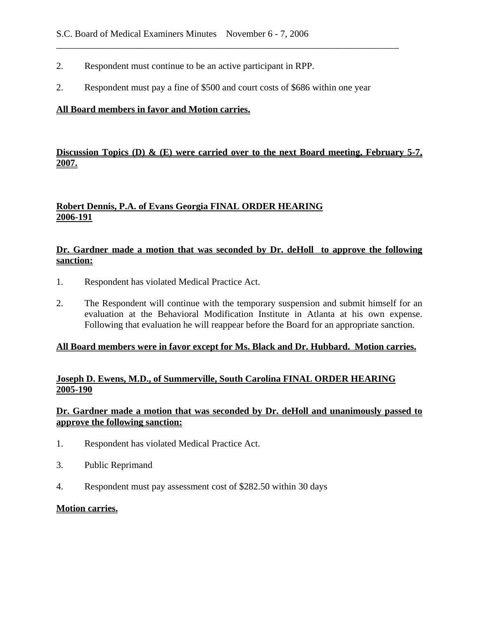- 2. Respondent must continue to be an active participant in RPP.
- 2. Respondent must pay a fine of \$500 and court costs of \$686 within one year

\_\_\_\_\_\_\_\_\_\_\_\_\_\_\_\_\_\_\_\_\_\_\_\_\_\_\_\_\_\_\_\_\_\_\_\_\_\_\_\_\_\_\_\_\_\_\_\_\_\_\_\_\_\_\_\_\_\_\_\_\_\_\_\_\_\_\_\_\_\_\_\_\_

#### **All Board members in favor and Motion carries.**

## **Discussion Topics (D) & (E) were carried over to the next Board meeting, February 5-7, 2007.**

## **Robert Dennis, P.A. of Evans Georgia FINAL ORDER HEARING 2006-191**

### **Dr. Gardner made a motion that was seconded by Dr. deHoll to approve the following sanction:**

- 1. Respondent has violated Medical Practice Act.
- 2. The Respondent will continue with the temporary suspension and submit himself for an evaluation at the Behavioral Modification Institute in Atlanta at his own expense. Following that evaluation he will reappear before the Board for an appropriate sanction.

### **All Board members were in favor except for Ms. Black and Dr. Hubbard. Motion carries.**

### **Joseph D. Ewens, M.D., of Summerville, South Carolina FINAL ORDER HEARING 2005-190**

### **Dr. Gardner made a motion that was seconded by Dr. deHoll and unanimously passed to approve the following sanction:**

- 1. Respondent has violated Medical Practice Act.
- 3. Public Reprimand
- 4. Respondent must pay assessment cost of \$282.50 within 30 days

#### **Motion carries.**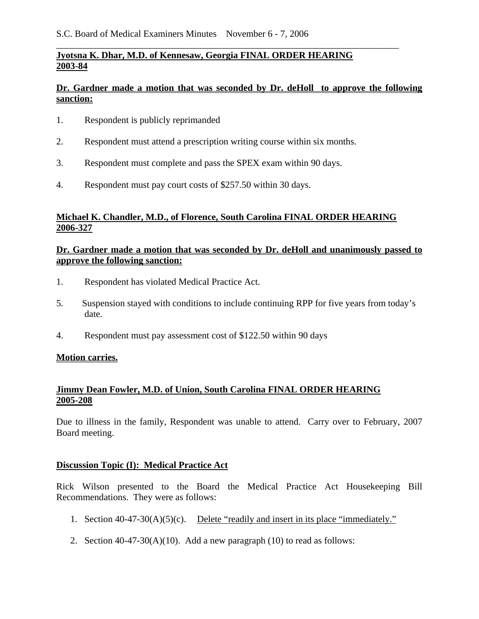## **Jyotsna K. Dhar, M.D. of Kennesaw, Georgia FINAL ORDER HEARING 2003-84**

## **Dr. Gardner made a motion that was seconded by Dr. deHoll to approve the following sanction:**

\_\_\_\_\_\_\_\_\_\_\_\_\_\_\_\_\_\_\_\_\_\_\_\_\_\_\_\_\_\_\_\_\_\_\_\_\_\_\_\_\_\_\_\_\_\_\_\_\_\_\_\_\_\_\_\_\_\_\_\_\_\_\_\_\_\_\_\_\_\_\_\_\_

- 1. Respondent is publicly reprimanded
- 2. Respondent must attend a prescription writing course within six months.
- 3. Respondent must complete and pass the SPEX exam within 90 days.
- 4. Respondent must pay court costs of \$257.50 within 30 days.

## **Michael K. Chandler, M.D., of Florence, South Carolina FINAL ORDER HEARING 2006-327**

### **Dr. Gardner made a motion that was seconded by Dr. deHoll and unanimously passed to approve the following sanction:**

- 1. Respondent has violated Medical Practice Act.
- 5. Suspension stayed with conditions to include continuing RPP for five years from today's date.
- 4. Respondent must pay assessment cost of \$122.50 within 90 days

### **Motion carries.**

### **Jimmy Dean Fowler, M.D. of Union, South Carolina FINAL ORDER HEARING 2005-208**

Due to illness in the family, Respondent was unable to attend. Carry over to February, 2007 Board meeting.

## **Discussion Topic (I): Medical Practice Act**

Rick Wilson presented to the Board the Medical Practice Act Housekeeping Bill Recommendations. They were as follows:

- 1. Section 40-47-30(A)(5)(c). Delete "readily and insert in its place "immediately."
- 2. Section  $40-47-30(A)(10)$ . Add a new paragraph (10) to read as follows: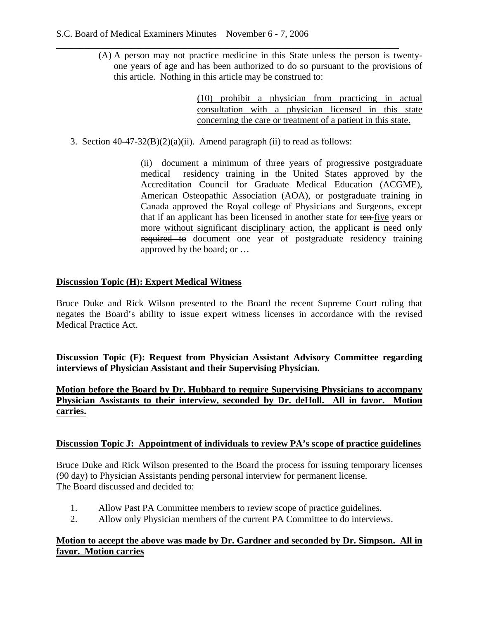(A) A person may not practice medicine in this State unless the person is twentyone years of age and has been authorized to do so pursuant to the provisions of this article. Nothing in this article may be construed to:

> (10) prohibit a physician from practicing in actual consultation with a physician licensed in this state concerning the care or treatment of a patient in this state.

3. Section 40-47-32(B)(2)(a)(ii). Amend paragraph (ii) to read as follows:

\_\_\_\_\_\_\_\_\_\_\_\_\_\_\_\_\_\_\_\_\_\_\_\_\_\_\_\_\_\_\_\_\_\_\_\_\_\_\_\_\_\_\_\_\_\_\_\_\_\_\_\_\_\_\_\_\_\_\_\_\_\_\_\_\_\_\_\_\_\_\_\_\_

(ii) document a minimum of three years of progressive postgraduate medical residency training in the United States approved by the Accreditation Council for Graduate Medical Education (ACGME), American Osteopathic Association (AOA), or postgraduate training in Canada approved the Royal college of Physicians and Surgeons, except that if an applicant has been licensed in another state for ten five years or more without significant disciplinary action, the applicant is need only required to document one year of postgraduate residency training approved by the board; or …

### **Discussion Topic (H): Expert Medical Witness**

Bruce Duke and Rick Wilson presented to the Board the recent Supreme Court ruling that negates the Board's ability to issue expert witness licenses in accordance with the revised Medical Practice Act.

**Discussion Topic (F): Request from Physician Assistant Advisory Committee regarding interviews of Physician Assistant and their Supervising Physician.** 

**Motion before the Board by Dr. Hubbard to require Supervising Physicians to accompany Physician Assistants to their interview, seconded by Dr. deHoll. All in favor. Motion carries.** 

### **Discussion Topic J: Appointment of individuals to review PA's scope of practice guidelines**

Bruce Duke and Rick Wilson presented to the Board the process for issuing temporary licenses (90 day) to Physician Assistants pending personal interview for permanent license. The Board discussed and decided to:

- 1. Allow Past PA Committee members to review scope of practice guidelines.
- 2. Allow only Physician members of the current PA Committee to do interviews.

### **Motion to accept the above was made by Dr. Gardner and seconded by Dr. Simpson. All in favor. Motion carries**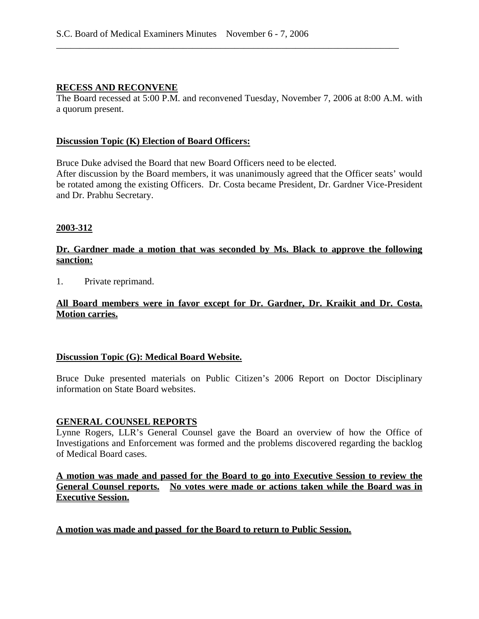### **RECESS AND RECONVENE**

The Board recessed at 5:00 P.M. and reconvened Tuesday, November 7, 2006 at 8:00 A.M. with a quorum present.

\_\_\_\_\_\_\_\_\_\_\_\_\_\_\_\_\_\_\_\_\_\_\_\_\_\_\_\_\_\_\_\_\_\_\_\_\_\_\_\_\_\_\_\_\_\_\_\_\_\_\_\_\_\_\_\_\_\_\_\_\_\_\_\_\_\_\_\_\_\_\_\_\_

#### **Discussion Topic (K) Election of Board Officers:**

Bruce Duke advised the Board that new Board Officers need to be elected. After discussion by the Board members, it was unanimously agreed that the Officer seats' would

be rotated among the existing Officers. Dr. Costa became President, Dr. Gardner Vice-President and Dr. Prabhu Secretary.

#### **2003-312**

### **Dr. Gardner made a motion that was seconded by Ms. Black to approve the following sanction:**

1. Private reprimand.

### **All Board members were in favor except for Dr. Gardner, Dr. Kraikit and Dr. Costa. Motion carries.**

### **Discussion Topic (G): Medical Board Website.**

Bruce Duke presented materials on Public Citizen's 2006 Report on Doctor Disciplinary information on State Board websites.

#### **GENERAL COUNSEL REPORTS**

Lynne Rogers, LLR's General Counsel gave the Board an overview of how the Office of Investigations and Enforcement was formed and the problems discovered regarding the backlog of Medical Board cases.

**A motion was made and passed for the Board to go into Executive Session to review the General Counsel reports. No votes were made or actions taken while the Board was in Executive Session.** 

**A motion was made and passed for the Board to return to Public Session.**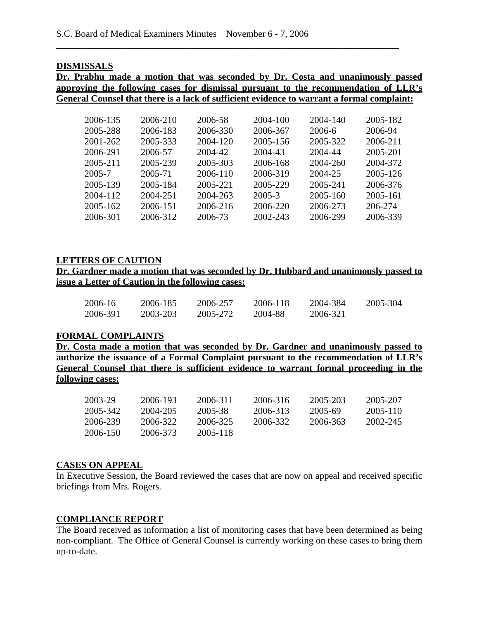#### **DISMISSALS**

**Dr. Prabhu made a motion that was seconded by Dr. Costa and unanimously passed approving the following cases for dismissal pursuant to the recommendation of LLR's General Counsel that there is a lack of sufficient evidence to warrant a formal complaint:** 

\_\_\_\_\_\_\_\_\_\_\_\_\_\_\_\_\_\_\_\_\_\_\_\_\_\_\_\_\_\_\_\_\_\_\_\_\_\_\_\_\_\_\_\_\_\_\_\_\_\_\_\_\_\_\_\_\_\_\_\_\_\_\_\_\_\_\_\_\_\_\_\_\_

| 2006-135 | 2006-210 | 2006-58  | 2004-100 | 2004-140 | 2005-182 |
|----------|----------|----------|----------|----------|----------|
| 2005-288 | 2006-183 | 2006-330 | 2006-367 | 2006-6   | 2006-94  |
| 2001-262 | 2005-333 | 2004-120 | 2005-156 | 2005-322 | 2006-211 |
| 2006-291 | 2006-57  | 2004-42  | 2004-43  | 2004-44  | 2005-201 |
| 2005-211 | 2005-239 | 2005-303 | 2006-168 | 2004-260 | 2004-372 |
| 2005-7   | 2005-71  | 2006-110 | 2006-319 | 2004-25  | 2005-126 |
| 2005-139 | 2005-184 | 2005-221 | 2005-229 | 2005-241 | 2006-376 |
| 2004-112 | 2004-251 | 2004-263 | 2005-3   | 2005-160 | 2005-161 |
| 2005-162 | 2006-151 | 2006-216 | 2006-220 | 2006-273 | 206-274  |
| 2006-301 | 2006-312 | 2006-73  | 2002-243 | 2006-299 | 2006-339 |
|          |          |          |          |          |          |

### **LETTERS OF CAUTION**

**Dr. Gardner made a motion that was seconded by Dr. Hubbard and unanimously passed to issue a Letter of Caution in the following cases:** 

| 2006-16  | 2006-185 | 2006-257 | 2006-118 | 2004-384 | 2005-304 |
|----------|----------|----------|----------|----------|----------|
| 2006-391 | 2003-203 | 2005-272 | 2004-88  | 2006-321 |          |

#### **FORMAL COMPLAINTS**

**Dr. Costa made a motion that was seconded by Dr. Gardner and unanimously passed to authorize the issuance of a Formal Complaint pursuant to the recommendation of LLR's General Counsel that there is sufficient evidence to warrant formal proceeding in the following cases:**

| 2003-29  | 2006-193 | 2006-311 | 2006-316 | 2005-203 | 2005-207 |
|----------|----------|----------|----------|----------|----------|
| 2005-342 | 2004-205 | 2005-38  | 2006-313 | 2005-69  | 2005-110 |
| 2006-239 | 2006-322 | 2006-325 | 2006-332 | 2006-363 | 2002-245 |
| 2006-150 | 2006-373 | 2005-118 |          |          |          |

#### **CASES ON APPEAL**

In Executive Session, the Board reviewed the cases that are now on appeal and received specific briefings from Mrs. Rogers.

### **COMPLIANCE REPORT**

The Board received as information a list of monitoring cases that have been determined as being non-compliant. The Office of General Counsel is currently working on these cases to bring them up-to-date.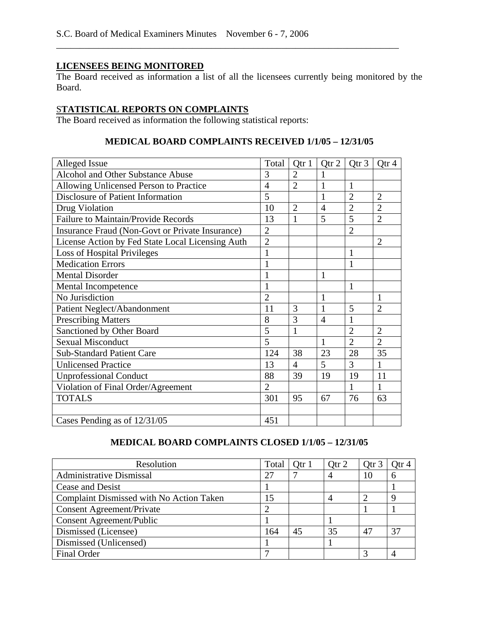## **LICENSEES BEING MONITORED**

The Board received as information a list of all the licensees currently being monitored by the Board.

\_\_\_\_\_\_\_\_\_\_\_\_\_\_\_\_\_\_\_\_\_\_\_\_\_\_\_\_\_\_\_\_\_\_\_\_\_\_\_\_\_\_\_\_\_\_\_\_\_\_\_\_\_\_\_\_\_\_\_\_\_\_\_\_\_\_\_\_\_\_\_\_\_

# S**TATISTICAL REPORTS ON COMPLAINTS**

The Board received as information the following statistical reports:

### **MEDICAL BOARD COMPLAINTS RECEIVED 1/1/05 – 12/31/05**

| Alleged Issue                                    | Total          | Qtr 1          | Qtr 2          | Qtr <sub>3</sub> | Qtr 4          |
|--------------------------------------------------|----------------|----------------|----------------|------------------|----------------|
| Alcohol and Other Substance Abuse                | 3              | $\overline{2}$ |                |                  |                |
| Allowing Unlicensed Person to Practice           | $\overline{4}$ | $\overline{2}$ | 1              | 1                |                |
| Disclosure of Patient Information                | 5              |                | 1              | $\overline{2}$   | $\overline{2}$ |
| Drug Violation                                   | 10             | $\overline{2}$ | $\overline{4}$ | $\overline{2}$   | $\overline{2}$ |
| <b>Failure to Maintain/Provide Records</b>       | 13             | 1              | 5              | 5                | $\overline{2}$ |
| Insurance Fraud (Non-Govt or Private Insurance)  | $\overline{2}$ |                |                | $\overline{2}$   |                |
| License Action by Fed State Local Licensing Auth | $\overline{2}$ |                |                |                  | $\overline{2}$ |
| <b>Loss of Hospital Privileges</b>               | $\mathbf{1}$   |                |                | $\mathbf{1}$     |                |
| <b>Medication Errors</b>                         | 1              |                |                | 1                |                |
| <b>Mental Disorder</b>                           | 1              |                | $\mathbf{1}$   |                  |                |
| Mental Incompetence                              |                |                |                | $\mathbf{1}$     |                |
| No Jurisdiction                                  | $\overline{2}$ |                | $\mathbf{1}$   |                  | 1              |
| Patient Neglect/Abandonment                      | 11             | 3              | 1              | 5                | $\overline{2}$ |
| <b>Prescribing Matters</b>                       | 8              | 3              | $\overline{4}$ | $\mathbf{1}$     |                |
| Sanctioned by Other Board                        | 5              | $\mathbf{1}$   |                | $\overline{2}$   | $\overline{2}$ |
| <b>Sexual Misconduct</b>                         | 5              |                | 1              | $\overline{2}$   | $\overline{2}$ |
| <b>Sub-Standard Patient Care</b>                 | 124            | 38             | 23             | 28               | 35             |
| <b>Unlicensed Practice</b>                       | 13             | $\overline{4}$ | 5              | 3                | 1              |
| <b>Unprofessional Conduct</b>                    | 88             | 39             | 19             | 19               | 11             |
| Violation of Final Order/Agreement               | $\overline{2}$ |                |                | 1                | 1              |
| <b>TOTALS</b>                                    | 301            | 95             | 67             | 76               | 63             |
|                                                  |                |                |                |                  |                |
| Cases Pending as of 12/31/05                     | 451            |                |                |                  |                |

## **MEDICAL BOARD COMPLAINTS CLOSED 1/1/05 – 12/31/05**

| Resolution                               | Total | Otr 1 | Otr 2 | Otr <sub>3</sub> | Otr 4 |
|------------------------------------------|-------|-------|-------|------------------|-------|
| <b>Administrative Dismissal</b>          | 27    |       |       | 10               | h     |
| Cease and Desist                         |       |       |       |                  |       |
| Complaint Dismissed with No Action Taken |       |       |       |                  |       |
| <b>Consent Agreement/Private</b>         |       |       |       |                  |       |
| <b>Consent Agreement/Public</b>          |       |       |       |                  |       |
| Dismissed (Licensee)                     | 164   | 45    | 35    | 47               | 37    |
| Dismissed (Unlicensed)                   |       |       |       |                  |       |
| <b>Final Order</b>                       |       |       |       |                  |       |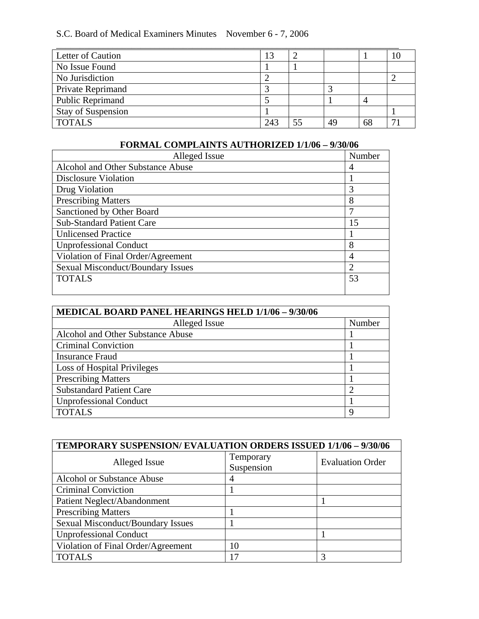# S.C. Board of Medical Examiners Minutes November 6 - 7, 2006

| Letter of Caution         | IJ              |    |    |   |
|---------------------------|-----------------|----|----|---|
| No Issue Found            |                 |    |    |   |
| No Jurisdiction           |                 |    |    |   |
| Private Reprimand         |                 |    |    |   |
| <b>Public Reprimand</b>   |                 |    |    |   |
| <b>Stay of Suspension</b> |                 |    |    |   |
| <b>TOTALS</b>             | 24 <sup>3</sup> | 55 | 49 | − |

# **FORMAL COMPLAINTS AUTHORIZED 1/1/06 – 9/30/06**

| Alleged Issue                            | Number         |
|------------------------------------------|----------------|
| Alcohol and Other Substance Abuse        | 4              |
| <b>Disclosure Violation</b>              |                |
| Drug Violation                           | 3              |
| <b>Prescribing Matters</b>               | 8              |
| Sanctioned by Other Board                | 7              |
| <b>Sub-Standard Patient Care</b>         | 15             |
| <b>Unlicensed Practice</b>               |                |
| <b>Unprofessional Conduct</b>            | 8              |
| Violation of Final Order/Agreement       | 4              |
| <b>Sexual Misconduct/Boundary Issues</b> | $\overline{2}$ |
| <b>TOTALS</b>                            | 53             |
|                                          |                |

| MEDICAL BOARD PANEL HEARINGS HELD 1/1/06 - 9/30/06 |        |  |  |  |
|----------------------------------------------------|--------|--|--|--|
| Alleged Issue                                      | Number |  |  |  |
| Alcohol and Other Substance Abuse                  |        |  |  |  |
| <b>Criminal Conviction</b>                         |        |  |  |  |
| <b>Insurance Fraud</b>                             |        |  |  |  |
| <b>Loss of Hospital Privileges</b>                 |        |  |  |  |
| <b>Prescribing Matters</b>                         |        |  |  |  |
| <b>Substandard Patient Care</b>                    | 2      |  |  |  |
| <b>Unprofessional Conduct</b>                      |        |  |  |  |
| <b>TOTALS</b>                                      | 9      |  |  |  |

| TEMPORARY SUSPENSION/EVALUATION ORDERS ISSUED 1/1/06 - 9/30/06 |            |                         |  |  |  |  |
|----------------------------------------------------------------|------------|-------------------------|--|--|--|--|
| Alleged Issue                                                  | Temporary  | <b>Evaluation Order</b> |  |  |  |  |
|                                                                | Suspension |                         |  |  |  |  |
| Alcohol or Substance Abuse                                     | 4          |                         |  |  |  |  |
| <b>Criminal Conviction</b>                                     |            |                         |  |  |  |  |
| Patient Neglect/Abandonment                                    |            |                         |  |  |  |  |
| <b>Prescribing Matters</b>                                     |            |                         |  |  |  |  |
| <b>Sexual Misconduct/Boundary Issues</b>                       |            |                         |  |  |  |  |
| <b>Unprofessional Conduct</b>                                  |            |                         |  |  |  |  |
| Violation of Final Order/Agreement                             | 10         |                         |  |  |  |  |
| <b>TOTALS</b>                                                  |            |                         |  |  |  |  |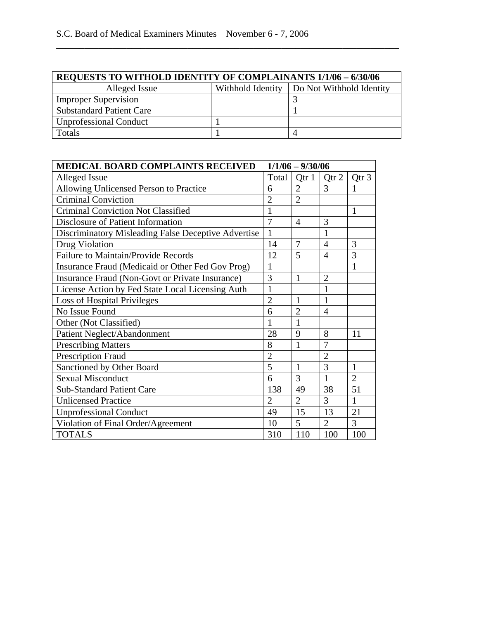| <b>REQUESTS TO WITHOLD IDENTITY OF COMPLAINANTS 1/1/06 - 6/30/06</b> |  |                                              |  |  |  |  |
|----------------------------------------------------------------------|--|----------------------------------------------|--|--|--|--|
| Alleged Issue                                                        |  | Withhold Identity   Do Not Withhold Identity |  |  |  |  |
| <b>Improper Supervision</b>                                          |  |                                              |  |  |  |  |
| <b>Substandard Patient Care</b>                                      |  |                                              |  |  |  |  |
| <b>Unprofessional Conduct</b>                                        |  |                                              |  |  |  |  |
| Totals                                                               |  |                                              |  |  |  |  |

\_\_\_\_\_\_\_\_\_\_\_\_\_\_\_\_\_\_\_\_\_\_\_\_\_\_\_\_\_\_\_\_\_\_\_\_\_\_\_\_\_\_\_\_\_\_\_\_\_\_\_\_\_\_\_\_\_\_\_\_\_\_\_\_\_\_\_\_\_\_\_\_\_

| <b>MEDICAL BOARD COMPLAINTS RECEIVED</b><br>$1/1/06 - 9/30/06$ |                |                |                |                |
|----------------------------------------------------------------|----------------|----------------|----------------|----------------|
| Alleged Issue                                                  |                | Qtr 1          | Qtr 2          | Qtr 3          |
| Allowing Unlicensed Person to Practice                         |                | $\overline{2}$ | 3              | 1              |
| <b>Criminal Conviction</b>                                     | $\overline{2}$ | $\overline{2}$ |                |                |
| <b>Criminal Conviction Not Classified</b>                      |                |                |                | $\mathbf{1}$   |
| Disclosure of Patient Information                              |                | 4              | 3              |                |
| Discriminatory Misleading False Deceptive Advertise            | $\mathbf{1}$   |                | 1              |                |
| Drug Violation                                                 | 14             | 7              | 4              | 3              |
| Failure to Maintain/Provide Records                            | 12             | 5              | $\overline{4}$ | 3              |
| Insurance Fraud (Medicaid or Other Fed Gov Prog)               | $\mathbf{1}$   |                |                | $\mathbf{1}$   |
| Insurance Fraud (Non-Govt or Private Insurance)                | 3              | 1              | $\overline{2}$ |                |
| License Action by Fed State Local Licensing Auth               | $\mathbf{1}$   |                | 1              |                |
| Loss of Hospital Privileges                                    | $\overline{2}$ | 1              | 1              |                |
| No Issue Found                                                 | 6              | $\overline{2}$ | 4              |                |
| Other (Not Classified)                                         | 1              | 1              |                |                |
| Patient Neglect/Abandonment                                    | 28             | 9              | 8              | 11             |
| <b>Prescribing Matters</b>                                     | 8              | 1              | 7              |                |
| Prescription Fraud                                             | $\overline{2}$ |                | $\overline{2}$ |                |
| Sanctioned by Other Board                                      | 5              | $\mathbf{1}$   | $\overline{3}$ | $\mathbf{1}$   |
| <b>Sexual Misconduct</b>                                       | 6              | 3              | $\mathbf{1}$   | $\overline{2}$ |
| <b>Sub-Standard Patient Care</b>                               | 138            | 49             | 38             | 51             |
| <b>Unlicensed Practice</b>                                     | $\overline{2}$ | $\overline{2}$ | 3              | $\mathbf{1}$   |
| <b>Unprofessional Conduct</b>                                  | 49             | 15             | 13             | 21             |
| Violation of Final Order/Agreement                             | 10             | 5              | $\overline{2}$ | 3              |
| <b>TOTALS</b>                                                  | 310            | 110            | 100            | 100            |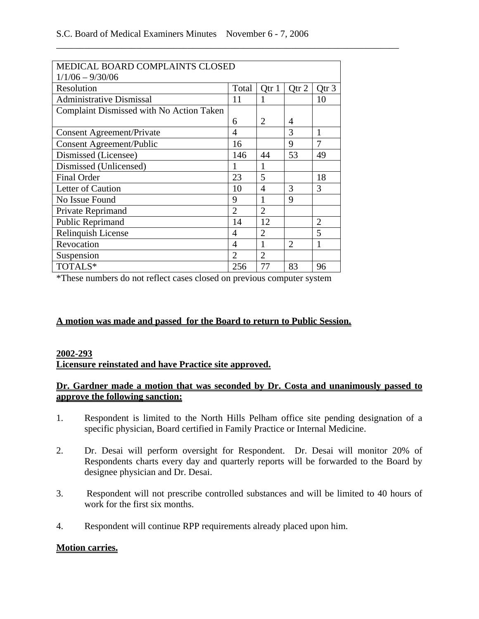\_\_\_\_\_\_\_\_\_\_\_\_\_\_\_\_\_\_\_\_\_\_\_\_\_\_\_\_\_\_\_\_\_\_\_\_\_\_\_\_\_\_\_\_\_\_\_\_\_\_\_\_\_\_\_\_\_\_\_\_\_\_\_\_\_\_\_\_\_\_\_\_\_

| MEDICAL BOARD COMPLAINTS CLOSED          |                |                         |                |                |  |  |
|------------------------------------------|----------------|-------------------------|----------------|----------------|--|--|
| $1/1/06 - 9/30/06$                       |                |                         |                |                |  |  |
| Resolution                               | Total          | Otr 1                   | Qtr 2          | Qtr 3          |  |  |
| <b>Administrative Dismissal</b>          | 11             |                         |                | 10             |  |  |
| Complaint Dismissed with No Action Taken |                |                         |                |                |  |  |
|                                          | 6              | 2                       | 4              |                |  |  |
| <b>Consent Agreement/Private</b>         | 4              |                         | 3              | 1              |  |  |
| <b>Consent Agreement/Public</b>          | 16             |                         | 9              | 7              |  |  |
| Dismissed (Licensee)                     | 146            | 44                      | 53             | 49             |  |  |
| Dismissed (Unlicensed)                   | 1              | 1                       |                |                |  |  |
| <b>Final Order</b>                       | 23             | $\overline{\mathbf{5}}$ |                | 18             |  |  |
| Letter of Caution                        | 10             | 4                       | 3              | 3              |  |  |
| No Issue Found                           | 9              |                         | 9              |                |  |  |
| Private Reprimand                        | $\overline{2}$ | $\overline{2}$          |                |                |  |  |
| Public Reprimand                         | 14             | 12                      |                | $\overline{2}$ |  |  |
| Relinquish License                       | 4              | $\overline{2}$          |                | 5              |  |  |
| Revocation                               | 4              | 1                       | $\overline{2}$ | 1              |  |  |
| Suspension                               | $\overline{2}$ | $\overline{2}$          |                |                |  |  |
| TOTALS*                                  | 256            | 77                      | 83             | 96             |  |  |

\*These numbers do not reflect cases closed on previous computer system

### **A motion was made and passed for the Board to return to Public Session.**

### **2002-293**

### **Licensure reinstated and have Practice site approved.**

### **Dr. Gardner made a motion that was seconded by Dr. Costa and unanimously passed to approve the following sanction:**

- 1. Respondent is limited to the North Hills Pelham office site pending designation of a specific physician, Board certified in Family Practice or Internal Medicine.
- 2. Dr. Desai will perform oversight for Respondent. Dr. Desai will monitor 20% of Respondents charts every day and quarterly reports will be forwarded to the Board by designee physician and Dr. Desai.
- 3. Respondent will not prescribe controlled substances and will be limited to 40 hours of work for the first six months.
- 4. Respondent will continue RPP requirements already placed upon him.

### **Motion carries.**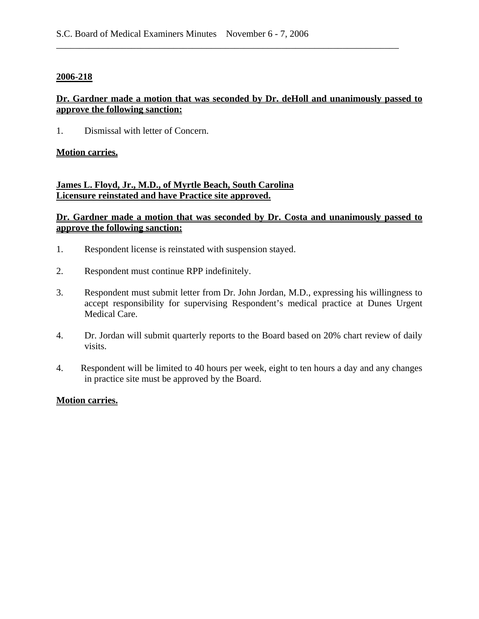#### **2006-218**

## **Dr. Gardner made a motion that was seconded by Dr. deHoll and unanimously passed to approve the following sanction:**

\_\_\_\_\_\_\_\_\_\_\_\_\_\_\_\_\_\_\_\_\_\_\_\_\_\_\_\_\_\_\_\_\_\_\_\_\_\_\_\_\_\_\_\_\_\_\_\_\_\_\_\_\_\_\_\_\_\_\_\_\_\_\_\_\_\_\_\_\_\_\_\_\_

1. Dismissal with letter of Concern.

### **Motion carries.**

# **James L. Floyd, Jr., M.D., of Myrtle Beach, South Carolina Licensure reinstated and have Practice site approved.**

### **Dr. Gardner made a motion that was seconded by Dr. Costa and unanimously passed to approve the following sanction:**

- 1. Respondent license is reinstated with suspension stayed.
- 2. Respondent must continue RPP indefinitely.
- 3. Respondent must submit letter from Dr. John Jordan, M.D., expressing his willingness to accept responsibility for supervising Respondent's medical practice at Dunes Urgent Medical Care.
- 4. Dr. Jordan will submit quarterly reports to the Board based on 20% chart review of daily visits.
- 4. Respondent will be limited to 40 hours per week, eight to ten hours a day and any changes in practice site must be approved by the Board.

### **Motion carries.**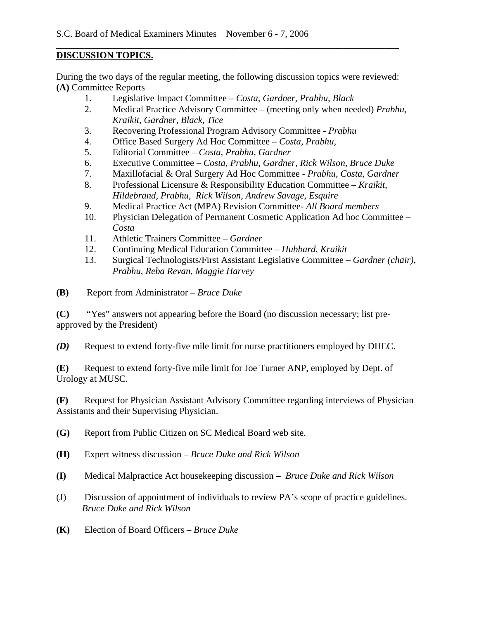## **DISCUSSION TOPICS.**

During the two days of the regular meeting, the following discussion topics were reviewed: **(A)** Committee Reports

\_\_\_\_\_\_\_\_\_\_\_\_\_\_\_\_\_\_\_\_\_\_\_\_\_\_\_\_\_\_\_\_\_\_\_\_\_\_\_\_\_\_\_\_\_\_\_\_\_\_\_\_\_\_\_\_\_\_\_\_\_\_\_\_\_\_\_\_\_\_\_\_\_

- 1. Legislative Impact Committee *Costa, Gardner, Prabhu, Black*
- 2. Medical Practice Advisory Committee (meeting only when needed) *Prabhu, Kraikit, Gardner, Black, Tice*
- 3. Recovering Professional Program Advisory Committee *Prabhu*
- 4. Office Based Surgery Ad Hoc Committee *Costa, Prabhu,*
- 5. Editorial Committee *Costa, Prabhu, Gardner*
- 6. Executive Committee *Costa, Prabhu, Gardner, Rick Wilson, Bruce Duke*
- 7. Maxillofacial & Oral Surgery Ad Hoc Committee  *Prabhu, Costa, Gardner*
- 8. Professional Licensure & Responsibility Education Committee *Kraikit, Hildebrand, Prabhu, Rick Wilson, Andrew Savage, Esquire*
- 9. Medical Practice Act (MPA) Revision Committee- *All Board members*
- 10. Physician Delegation of Permanent Cosmetic Application Ad hoc Committee *Costa*
- 11. Athletic Trainers Committee *Gardner*
- 12. Continuing Medical Education Committee *Hubbard, Kraikit*
- 13. Surgical Technologists/First Assistant Legislative Committee *Gardner (chair), Prabhu, Reba Revan, Maggie Harvey*
- **(B)** Report from Administrator *Bruce Duke*

**(C)** "Yes" answers not appearing before the Board (no discussion necessary; list preapproved by the President)

*(D)* Request to extend forty-five mile limit for nurse practitioners employed by DHEC.

**(E)** Request to extend forty-five mile limit for Joe Turner ANP, employed by Dept. of Urology at MUSC.

**(F)** Request for Physician Assistant Advisory Committee regarding interviews of Physician Assistants and their Supervising Physician.

- **(G)** Report from Public Citizen on SC Medical Board web site.
- **(H)** Expert witness discussion *Bruce Duke and Rick Wilson*
- **(I)** Medical Malpractice Act housekeeping discussion *Bruce Duke and Rick Wilson*
- (J) Discussion of appointment of individuals to review PA's scope of practice guidelines.  *Bruce Duke and Rick Wilson*
- **(K)** Election of Board Officers *Bruce Duke*